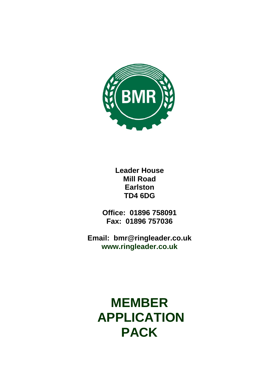

**Leader House Mill Road Earlston TD4 6DG**

**Office: 01896 758091 Fax: 01896 757036**

**Email: bmr@ringleader.co.uk www.ringleader.co.uk**

**MEMBER APPLICATION PACK**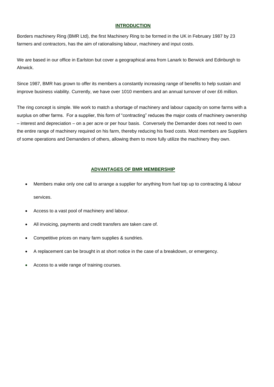### **INTRODUCTION**

Borders machinery Ring (BMR Ltd), the first Machinery Ring to be formed in the UK in February 1987 by 23 farmers and contractors, has the aim of rationalising labour, machinery and input costs.

We are based in our office in Earlston but cover a geographical area from Lanark to Berwick and Edinburgh to Alnwick.

Since 1987, BMR has grown to offer its members a constantly increasing range of benefits to help sustain and improve business viability. Currently, we have over 1010 members and an annual turnover of over £6 million.

The ring concept is simple. We work to match a shortage of machinery and labour capacity on some farms with a surplus on other farms. For a supplier, this form of "contracting" reduces the major costs of machinery ownership – interest and depreciation – on a per acre or per hour basis. Conversely the Demander does not need to own the entire range of machinery required on his farm, thereby reducing his fixed costs. Most members are Suppliers of some operations and Demanders of others, allowing them to more fully utilize the machinery they own.

### **ADVANTAGES OF BMR MEMBERSHIP**

- Members make only one call to arrange a supplier for anything from fuel top up to contracting & labour services.
- Access to a vast pool of machinery and labour.
- All invoicing, payments and credit transfers are taken care of.
- Competitive prices on many farm supplies & sundries.
- A replacement can be brought in at short notice in the case of a breakdown, or emergency.
- Access to a wide range of training courses.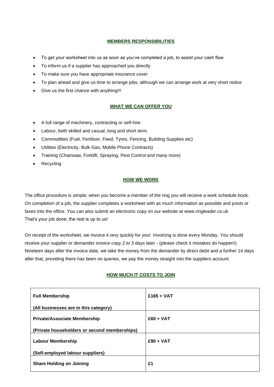### **MEMBERS RESPONSIBILITIES**

- To get your worksheet into us as soon as you've completed a job, to assist your cash flow
- To inform us if a supplier has approached you directly
- To make sure you have appropriate insurance cover
- To plan ahead and give us time to arrange jobs, although we can arrange work at very short notice
- Give us the first chance with anything!!!

### **WHAT WE CAN OFFER YOU**

- A full range of machinery, contracting or self-hire.
- Labour, both skilled and casual, long and short term.
- Commodities (Fuel, Fertiliser, Feed, Tyres, Fencing, Building Supplies etc)
- Utilities (Electricity, Bulk Gas, Mobile Phone Contracts)
- Training (Chainsaw, Forklift, Spraying, Pest Control and many more)
- **Recycling**

### **HOW WE WORK**

The office procedure is simple; when you become a member of the ring you will receive a work schedule book. On completion of a job, the supplier completes a worksheet with as much information as possible and posts or faxes into the office. You can also submit an electronic copy on our website at [www.ringleader.co.uk](http://www.ringleader.co.uk/) That's your job done; the rest is up to us!

On receipt of the worksheet, we invoice it very quickly for you! Invoicing is done every Monday. You should receive your supplier or demander invoice copy 2 to 3 days later - (please check it mistakes do happen!). Nineteen days after the invoice date, we take the money from the demander by direct debit and a further 14 days after that, providing there has been no queries, we pay the money straight into the suppliers account.

### **HOW MUCH IT COSTS TO JOIN**

| <b>Full Membership</b>                       | $£165 + VAT$ |
|----------------------------------------------|--------------|
| (All businesses are in this category)        |              |
| <b>Private/Associate Membership</b>          | $£60 + VAT$  |
| (Private householders or second memberships) |              |
| <b>Labour Membership</b>                     | $£90 + VAT$  |
| (Self-employed labour suppliers)             |              |
| <b>Share Holding on Joining</b>              | £1           |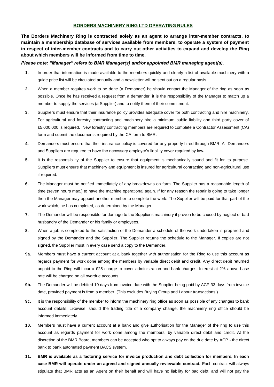#### **BORDERS MACHINERY RING LTD OPERATING RULES**

**The Borders Machinery Ring is contracted solely as an agent to arrange inter-member contracts, to maintain a membership database of services available from members, to operate a system of payment in respect of inter-member contracts and to carry out other activities to expand and develop the Ring about which members will be informed from time to time.**

#### *Please note: "Manager" refers to BMR Manager(s) and/or appointed BMR managing agent(s).*

- **1.** In order that information is made available to the members quickly and clearly a list of available machinery with a guide price list will be circulated annually and a newsletter will be sent out on a regular basis.
- **2.** When a member requires work to be done (a Demander) he should contact the Manager of the ring as soon as possible. Once he has received a request from a demander, it is the responsibility of the Manager to match up a member to supply the services (a Supplier) and to notify them of their commitment.
- **3.** Suppliers must ensure that their insurance policy provides adequate cover for both contracting and hire machinery. For agricultural and forestry contracting and machinery hire a minimum public liability and third party cover of £5,000,000 is required. New forestry contracting members are required to complete a Contractor Assessment (CA) form and submit the documents required by the CA form to BMR.
- **4.** Demanders must ensure that their insurance policy is covered for any property hired through BMR. All Demanders and Suppliers are required to have the necessary employer's liability cover required by law*.*
- **5.** It is the responsibility of the Supplier to ensure that equipment is mechanically sound and fit for its purpose. Suppliers must ensure that machinery and equipment is insured for agricultural contracting and non-agricultural use if required.
- **6.** The Manager must be notified immediately of any breakdowns on farm. The Supplier has a reasonable length of time (seven hours max.) to have the machine operational again. If for any reason the repair is going to take longer then the Manager may appoint another member to complete the work. The Supplier will be paid for that part of the work which, he has completed, as determined by the Manager.
- **7.** The Demander will be responsible for damage to the Supplier's machinery if proven to be caused by neglect or bad husbandry of the Demander or his family or employees.
- **8.** When a job is completed to the satisfaction of the Demander a schedule of the work undertaken is prepared and signed by the Demander and the Supplier. The Supplier returns the schedule to the Manager. If copies are not signed, the Supplier must in every case send a copy to the Demander.
- **9a.** Members must have a current account at a bank together with authorisation for the Ring to use this account as regards payment for work done among the members by variable direct debit and credit. Any direct debit returned unpaid to the Ring will incur a £25 charge to cover administration and bank charges. Interest at 2% above base rate will be charged on all overdue accounts.
- **9b.** The Demander will be debited 19 days from invoice date with the Supplier being paid by ACP 33 days from invoice date, provided payment is from a member. (This excludes Buying Group and Labour transactions.)
- **9c.** It is the responsibility of the member to inform the machinery ring office as soon as possible of any changes to bank account details. Likewise, should the trading title of a company change, the machinery ring office should be informed immediately.
- **10.** Members must have a current account at a bank and give authorisation for the Manager of the ring to use this account as regards payment for work done among the members, by variable direct debit and credit. At the discretion of the BMR Board, members can be accepted who opt to always pay on the due date by ACP - the direct bank to bank automated payment BACS system.
- **11. BMR is available as a factoring service for invoice production and debt collection for members. In each case BMR will operate under an agreed and signed annually reviewable contract.** Each contract will always stipulate that BMR acts as an Agent on their behalf and will have no liability for bad debt, and will not pay the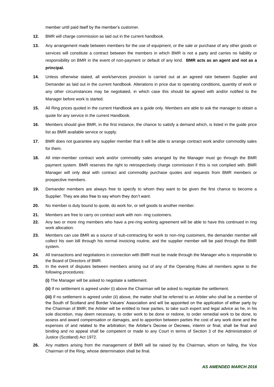member until paid itself by the member's customer.

- **12.** BMR will charge commission as laid out in the current handbook.
- **13.** Any arrangement made between members for the use of equipment, or the sale or purchase of any other goods or services will constitute a contract between the members in which BMR is not a party and carries no liability or responsibility on BMR in the event of non-payment or default of any kind. **BMR acts as an agent and not as a principal.**
- **14.** Unless otherwise stated, all work/services provision is carried out at an agreed rate between Supplier and Demander as laid out in the current handbook. Alterations in price due to operating conditions, quantity of work or any other circumstances may be negotiated, in which case this should be agreed with and/or notified to the Manager before work is started.
- **15.** All Ring prices quoted in the current Handbook are a guide only. Members are able to ask the manager to obtain a quote for any service in the current Handbook.
- **16.** Members should give BMR, in the first instance, the chance to satisfy a demand which, is listed in the guide price list as BMR available service or supply.
- **17.** BMR does not guarantee any supplier member that it will be able to arrange contract work and/or commodity sales for them.
- **18.** All inter-member contract work and/or commodity sales arranged by the Manager must go through the BMR payment system. BMR reserves the right to retrospectively charge commission if this is not complied with. BMR Manager will only deal with contract and commodity purchase quotes and requests from BMR members or prospective members.
- **19.** Demander members are always free to specify to whom they want to be given the first chance to become a Supplier. They are also free to say whom they don't want.
- **20.** No member is duty bound to quote, do work for, or sell goods to another member.
- **21.** Members are free to carry on contract work with non- ring customers.
- **22.** Any two or more ring members who have a pre-ring working agreement will be able to have this continued in ring work allocation.
- **23.** Members can use BMR as a source of sub-contracting for work to non-ring customers, the demander member will collect his own bill through his normal invoicing routine, and the supplier member will be paid through the BMR system.
- **24.** All transactions and negotiations in connection with BMR must be made through the Manager who is responsible to the Board of Directors of BMR.
- **25.** In the event of disputes between members arising out of any of the Operating Rules all members agree to the following procedures:
	- **(i)** The Manager will be asked to negotiate a settlement.
	- **(ii)** If no settlement is agreed under (i) above the Chairman will be asked to negotiate the settlement.

**(iii)** If no settlement is agreed under (ii) above, the matter shall be referred to an Arbiter who shall be a member of the South of Scotland and Border Valuers' Association and will be appointed on the application of either party by the Chairman of BMR; the Arbiter will be entitled to hear parties, to take such expert and legal advice as he, in his sole discretion, may deem necessary, to order work to be done or redone, to order remedial work to be done, to assess and award compensation or damages, and to apportion between parties the cost of any work done and the expenses of and related to the arbitration; the Arbiter's Decree or Decrees, interim or final, shall be final and binding and no appeal shall be competent or made to any Court in terms of Section 3 of the Administration of Justice (Scotland) Act 1972.

**26.** Any matters arising from the management of BMR will be raised by the Chairman, whom on failing, the Vice Chairman of the Ring, whose determination shall be final.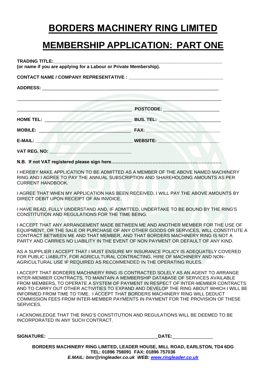# **BORDERS MACHINERY RING LIMITED**

# **MEMBERSHIP APPLICATION: PART ONE**

**TRADING TITLE:\_\_\_\_\_\_\_\_\_\_\_\_\_\_\_\_\_\_\_\_\_\_\_\_\_\_\_\_\_\_\_\_\_\_\_\_\_\_\_\_\_\_\_\_\_\_\_\_\_\_\_\_\_\_\_\_\_\_\_\_\_\_\_\_\_\_**

**(or name if you are applying for a Labour or Private Membership).**

**CONTACT NAME / COMPANY REPRESENTATIVE : \_\_\_\_\_\_\_\_\_\_\_\_\_\_\_\_\_\_\_\_\_\_\_\_\_\_\_\_\_\_\_\_\_\_\_\_\_**

**ADDRESS:** \_\_\_\_\_\_\_\_\_\_\_\_\_\_\_\_\_\_\_\_\_\_\_\_\_\_\_\_\_\_\_\_\_\_\_\_\_\_\_\_\_\_\_\_\_\_\_\_\_\_\_\_\_\_\_\_\_\_\_\_\_\_\_\_\_\_\_\_\_

|                     | POSTCODE:       |
|---------------------|-----------------|
| HOME TEL:           | BUS. TEL:       |
| <b>MOBILE:</b>      | <b>FAX:</b>     |
| <b>E-MAIL:</b>      | <b>WEBSITE:</b> |
| <b>VAT REG. NO:</b> |                 |

**N.B. If not VAT registered please sign here………………………………………………………………**

I HEREBY MAKE APPLICATION TO BE ADMITTED AS A MEMBER OF THE ABOVE NAMED MACHINERY RING AND I AGREE TO PAY THE ANNUAL SUBSCRIPTION AND SHAREHOLDING AMOUNTS AS PER CURRENT HANDBOOK.

I AGREE THAT WHEN MY APPLICATION HAS BEEN RECEIVED, I WILL PAY THE ABOVE AMOUNTS BY DIRECT DEBIT UPON RECEIPT OF AN INVOICE.

I HAVE READ, FULLY UNDERSTAND AND, IF ADMITTED, UNDERTAKE TO BE BOUND BY THE RING'S CONSTITUTION AND REGULATIONS FOR THE TIME BEING.

I ACCEPT THAT ANY ARRANGEMENT MADE BETWEEN ME AND ANOTHER MEMBER FOR THE USE OF EQUIPMENT, OR THE SALE OR PURCHASE OF ANY OTHER GOODS OR SERVICES, WILL CONSTITUTE A CONTRACT BETWEEN ME AND THAT MEMBER, AND THAT BORDERS MACHINERY RING IS NOT A PARTY AND CARRIES NO LIABILITY IN THE EVENT OF NON PAYMENT OR DEFAULT OF ANY KIND.

AS A SUPPLIER I ACCEPT THAT I MUST ENSURE MY INSURANCE POLICY IS ADEQUATELY COVERED FOR PUBLIC LIABILITY, FOR AGRICULTURAL CONTRACTING, HIRE OF MACHINERY AND NON-AGRICULTURAL USE IF REQUIRED AS RECOMMENDED IN THE OPERATING RULES.

I ACCEPT THAT BORDERS MACHINERY RING IS CONTRACTED SOLELY AS AN AGENT TO ARRANGE INTER-MEMBER CONTRACTS, TO MAINTAIN A MEMBERSHIP DATABASE OF SERVICES AVAILABLE FROM MEMBERS, TO OPERATE A SYSTEM OF PAYMENT IN RESPECT OF INTER-MEMBER CONTRACTS AND TO CARRY OUT OTHER ACTIVITIES TO EXPAND AND DEVELOP THE RING ABOUT WHICH I WILL BE INFORMED FROM TIME TO TIME. I ACCEPT THAT BORDERS MACHINERY RING WILL DEDUCT COMMISSION FEES FROM INTER-MEMBER PAYMENTS IN PAYMENT FOR THE PROVISION OF THESE SERVICES.

I ACKNOWLEDGE THAT THE RING'S CONSTITUTION AND REGULATIONS WILL BE DEEMED TO BE INCORPORATED IN ANY SUCH CONTRACT.

**SIGNATURE:** \_\_\_\_\_\_\_\_\_\_\_\_\_\_\_\_\_\_\_\_\_\_\_\_\_\_\_\_\_\_\_\_\_\_\_\_\_\_\_\_\_\_\_**DATE:**\_\_\_\_\_\_\_\_\_\_\_\_\_\_\_\_

**BORDERS MACHINERY RING LIMITED, LEADER HOUSE, MILL ROAD, EARLSTON, TD4 6DG TEL: 01896 758091 FAX: 01896 757036** *E.MAIL: bmr@ringleader.co.uk WEB: [www.ringleader.co.uk](http://www.ringleader.co.uk/)*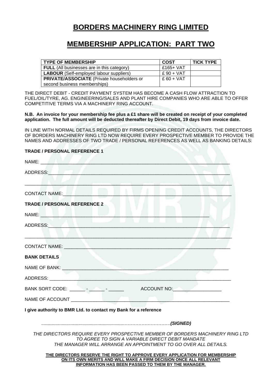### **BORDERS MACHINERY RING LIMITED**

### **MEMBERSHIP APPLICATION: PART TWO**

| <b>TYPE OF MEMBERSHIP</b>                         | COST        | <b>TICK TYPE</b> |
|---------------------------------------------------|-------------|------------------|
| <b>FULL</b> (All businesses are in this category) | £165+ $VAT$ |                  |
| <b>LABOUR</b> (Self-employed labour suppliers)    | $£90 + VAT$ |                  |
| <b>PRIVATE/ASSOCIATE</b> (Private householders or | $£60 + VAT$ |                  |
| second business memberships)                      |             |                  |

THE DIRECT DEBIT - CREDIT PAYMENT SYSTEM HAS BECOME A CASH FLOW ATTRACTION TO FUEL/OIL/TYRE, AG. ENGINEERING/SALES AND PLANT HIRE COMPANIES WHO ARE ABLE TO OFFER COMPETITIVE TERMS VIA A MACHINERY RING ACCOUNT.

**N.B. An invoice for your membership fee plus a £1 share will be created on receipt of your completed application. The full amount will be deducted thereafter by Direct Debit, 19 days from invoice date.**

IN LINE WITH NORMAL DETAILS REQUIRED BY FIRMS OPENING CREDIT ACCOUNTS, THE DIRECTORS OF BORDERS MACHINERY RING LTD NOW REQUIRE EVERY PROSPECTIVE MEMBER TO PROVIDE THE NAMES AND ADDRESSES OF TWO TRADE / PERSONAL REFERENCES AS WELL AS BANKING DETAILS:

| NAME: A CONTROL CONTROL CONTROL CONTROL                                                                                                                                                                                        |                                                                                                                                                                                                         |  |  |
|--------------------------------------------------------------------------------------------------------------------------------------------------------------------------------------------------------------------------------|---------------------------------------------------------------------------------------------------------------------------------------------------------------------------------------------------------|--|--|
| ADDRESS:                                                                                                                                                                                                                       |                                                                                                                                                                                                         |  |  |
|                                                                                                                                                                                                                                |                                                                                                                                                                                                         |  |  |
| CONTACT NAME:                                                                                                                                                                                                                  |                                                                                                                                                                                                         |  |  |
| <b>TRADE / PERSONAL REFERENCE 2</b>                                                                                                                                                                                            |                                                                                                                                                                                                         |  |  |
| NAME: University of the state of the state of the state of the state of the state of the state of the state of                                                                                                                 |                                                                                                                                                                                                         |  |  |
| ADDRESS: AND AND AND ANNUAL AND ANNUAL AND ANNUAL AND ANNUAL AND ANNUAL AND ANNUAL AND ANNUAL AND ANNUAL AND A                                                                                                                 |                                                                                                                                                                                                         |  |  |
|                                                                                                                                                                                                                                |                                                                                                                                                                                                         |  |  |
| CONTACT NAME: We have a series of the contract of the contract of the contract of the contract of the contract of the contract of the contract of the contract of the contract of the contract of the contract of the contract |                                                                                                                                                                                                         |  |  |
| <b>BANK DETAILS</b>                                                                                                                                                                                                            |                                                                                                                                                                                                         |  |  |
|                                                                                                                                                                                                                                |                                                                                                                                                                                                         |  |  |
|                                                                                                                                                                                                                                |                                                                                                                                                                                                         |  |  |
|                                                                                                                                                                                                                                |                                                                                                                                                                                                         |  |  |
|                                                                                                                                                                                                                                |                                                                                                                                                                                                         |  |  |
| I give authority to BMR Ltd. to contact my Bank for a reference                                                                                                                                                                |                                                                                                                                                                                                         |  |  |
|                                                                                                                                                                                                                                |                                                                                                                                                                                                         |  |  |
| THE DIRECTORS REQUIRE EVERY PROSPECTIVE MEMBER OF BORDERS MACHINERY RING LTD                                                                                                                                                   | TO AGREE TO SIGN A VARIABLE DIRECT DEBIT MANDATE<br>THE MANAGER WILL ARRANGE AN APPOINTMENT TO GO OVER ALL DETAILS.                                                                                     |  |  |
|                                                                                                                                                                                                                                | THE DIRECTORS RESERVE THE RIGHT TO APPROVE EVERY APPLICATION FOR MEMBERSHIP<br>ON ITS OWN MERITS AND WILL MAKE A FIRM DECISION ONCE ALL RELEVANT<br>INFORMATION HAS BEEN PASSED TO THEM BY THE MANAGER. |  |  |

**TRADE / PERSONAL REFERENCE 1**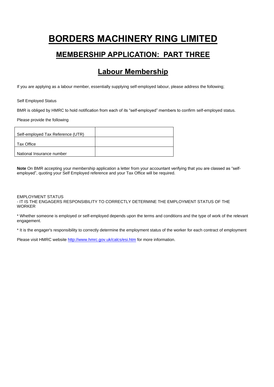# **BORDERS MACHINERY RING LIMITED MEMBERSHIP APPLICATION: PART THREE**

### **Labour Membership**

If you are applying as a labour member, essentially supplying self-employed labour, please address the following;

Self Employed Status

BMR is obliged by HMRC to hold notification from each of its "self-employed" members to confirm self-employed status.

Please provide the following

| Self-employed Tax Reference (UTR) |  |
|-----------------------------------|--|
| Tax Office                        |  |
| National Insurance number         |  |

**Note** On BMR accepting your membership application a letter from your accountant verifying that you are classed as "selfemployed", quoting your Self Employed reference and your Tax Office will be required.

EMPLOYMENT STATUS

- IT IS THE ENGAGERS RESPONSIBILITY TO CORRECTLY DETERMINE THE EMPLOYMENT STATUS OF THE WORKER

\* Whether someone is employed or self-employed depends upon the terms and conditions and the type of work of the relevant engagement.

\* It is the engager's responsibility to correctly determine the employment status of the worker for each contract of employment

Please visit HMRC website<http://www.hmrc.gov.uk/calcs/esi.htm> for more information.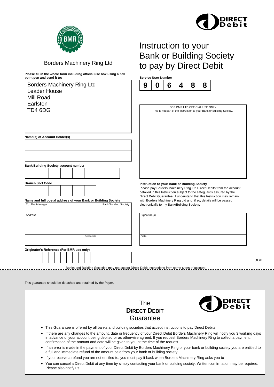

DDI1

Instruction to your

Bank or Building Society

to pay by Direct Debit



### Borders Machinery Ring Ltd

**Please fill in the whole form including official use box using a ball point pen and send it to: Service User Number**

| <b>Borders Machinery Ring Ltd</b><br><b>Leader House</b> |  |  |                                                               |  |  | 9 | Ū        | 6 | 4                            | 8 | 8                                                                                                |                                              |                                                                       |  |  |  |                                                                                                                                               |
|----------------------------------------------------------|--|--|---------------------------------------------------------------|--|--|---|----------|---|------------------------------|---|--------------------------------------------------------------------------------------------------|----------------------------------------------|-----------------------------------------------------------------------|--|--|--|-----------------------------------------------------------------------------------------------------------------------------------------------|
| Mill Road<br>Earlston<br>TD4 6DG                         |  |  |                                                               |  |  |   |          |   |                              |   | FOR BMR LTD OFFICIAL USE ONLY                                                                    |                                              | This is not part of the instruction to your Bank or Building Society. |  |  |  |                                                                                                                                               |
|                                                          |  |  | Name(s) of Account Holder(s)                                  |  |  |   |          |   |                              |   |                                                                                                  |                                              |                                                                       |  |  |  |                                                                                                                                               |
|                                                          |  |  |                                                               |  |  |   |          |   |                              |   |                                                                                                  |                                              |                                                                       |  |  |  |                                                                                                                                               |
|                                                          |  |  | <b>Bank/Building Society account number</b>                   |  |  |   |          |   |                              |   |                                                                                                  |                                              |                                                                       |  |  |  |                                                                                                                                               |
|                                                          |  |  |                                                               |  |  |   |          |   |                              |   |                                                                                                  |                                              |                                                                       |  |  |  |                                                                                                                                               |
| <b>Branch Sort Code</b>                                  |  |  |                                                               |  |  |   |          |   |                              |   |                                                                                                  | Instruction to your Bank or Building Society |                                                                       |  |  |  |                                                                                                                                               |
|                                                          |  |  |                                                               |  |  |   |          |   |                              |   |                                                                                                  |                                              |                                                                       |  |  |  | Please pay Borders Machinery Ring Ltd Direct Debits from the account<br>detailed in this Instruction subject to the safeguards assured by the |
|                                                          |  |  | Name and full postal address of your Bank or Building Society |  |  |   |          |   |                              |   |                                                                                                  |                                              |                                                                       |  |  |  | Direct Debit Guarantee. I understand that this Instruction may remain<br>with Borders Machinery Ring Ltd and, if so, details will be passed   |
| To: The Manager                                          |  |  |                                                               |  |  |   |          |   | <b>Bank/Building Society</b> |   |                                                                                                  | electronically to my Bank/Building Society.  |                                                                       |  |  |  |                                                                                                                                               |
| Address                                                  |  |  |                                                               |  |  |   |          |   |                              |   | Signature(s)                                                                                     |                                              |                                                                       |  |  |  |                                                                                                                                               |
|                                                          |  |  |                                                               |  |  |   |          |   |                              |   |                                                                                                  |                                              |                                                                       |  |  |  |                                                                                                                                               |
|                                                          |  |  |                                                               |  |  |   |          |   |                              |   |                                                                                                  |                                              |                                                                       |  |  |  |                                                                                                                                               |
|                                                          |  |  |                                                               |  |  |   | Postcode |   |                              |   | Date                                                                                             |                                              |                                                                       |  |  |  |                                                                                                                                               |
|                                                          |  |  | Originator's Reference (For BMR use only)                     |  |  |   |          |   |                              |   |                                                                                                  |                                              |                                                                       |  |  |  |                                                                                                                                               |
|                                                          |  |  |                                                               |  |  |   |          |   |                              |   |                                                                                                  |                                              |                                                                       |  |  |  |                                                                                                                                               |
|                                                          |  |  |                                                               |  |  |   |          |   |                              |   |                                                                                                  |                                              |                                                                       |  |  |  |                                                                                                                                               |
|                                                          |  |  |                                                               |  |  |   |          |   |                              |   | Banks and Building Societies may not accept Direct Debit Instructions from some types of account |                                              |                                                                       |  |  |  |                                                                                                                                               |
|                                                          |  |  | This guarantee should be detached and retained by the Payer.  |  |  |   |          |   |                              |   |                                                                                                  |                                              |                                                                       |  |  |  |                                                                                                                                               |

The **DIRECT DEBIT Guarantee** • This Guarantee is offered by all banks and building societies that accept instructions to pay Direct Debits • If there are any changes to the amount, date or frequency of your Direct Debit Borders Machinery Ring will notify you 3 working days in advance of your account being debited or as otherwise agreed. If you request Borders Machinery Ring to collect a payment, confirmation of the amount and date will be given to you at the time of the request • If an error is made in the payment of your Direct Debit by Borders Machinery Ring or your bank or building society you are entitled to a full and immediate refund of the amount paid from your bank or building society • If you receive a refund you are not entitled to, you must pay it back when Borders Machinery Ring asks you to • You can cancel a Direct Debit at any time by simply contacting your bank or building society. Written confirmation may be required. Please also notify us.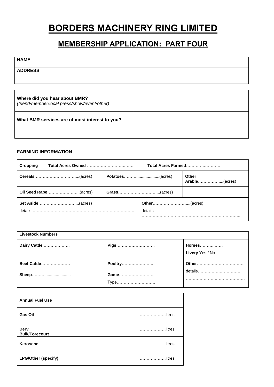# **BORDERS MACHINERY RING LIMITED**

### **MEMBERSHIP APPLICATION: PART FOUR**

### **NAME**

**ADDRESS**

| Where did you hear about BMR?<br>(friend/member/local press/show/event/other) |  |
|-------------------------------------------------------------------------------|--|
| What BMR services are of most interest to you?                                |  |

### **FARMING INFORMATION**

| Cropping             | Total Acres Farmed |                               |  |
|----------------------|--------------------|-------------------------------|--|
|                      | Potatoes(acres)    | <b>Other</b><br>Arable(acres) |  |
| Oil Seed Rape(acres) |                    |                               |  |
| details              | details            |                               |  |

| <b>Livestock Numbers</b> |                |                                  |  |  |  |  |
|--------------------------|----------------|----------------------------------|--|--|--|--|
| Dairy Cattle             | <b>Pigs</b>    | <b>Horses</b><br>Livery Yes / No |  |  |  |  |
| <b>Beef Cattle</b>       | <b>Poultry</b> |                                  |  |  |  |  |
| Sheep                    | Game<br>Type   | details                          |  |  |  |  |

| <b>Annual Fuel Use</b>               |                            |
|--------------------------------------|----------------------------|
| <b>Gas Oil</b>                       | litres                     |
| <b>Derv</b><br><b>Bulk/Forecourt</b> | litres<br>.                |
| Kerosene                             | litres                     |
| <b>LPG/Other (specify)</b>           | litres.<br><b>Contract</b> |